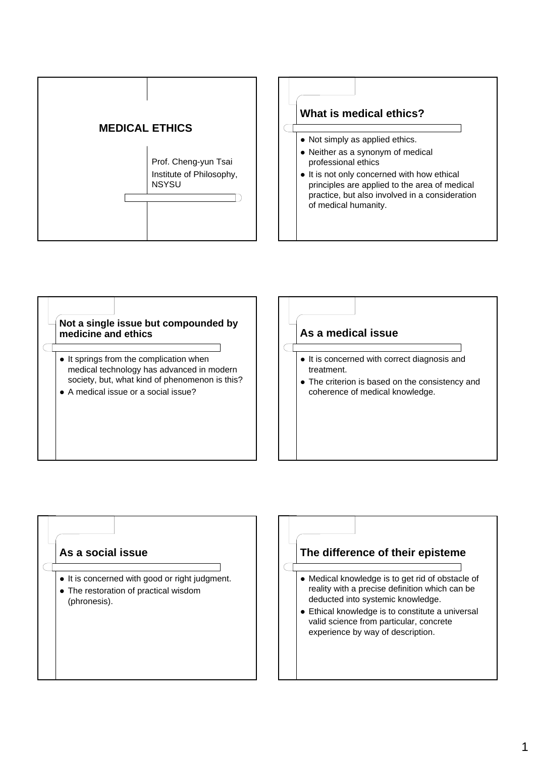